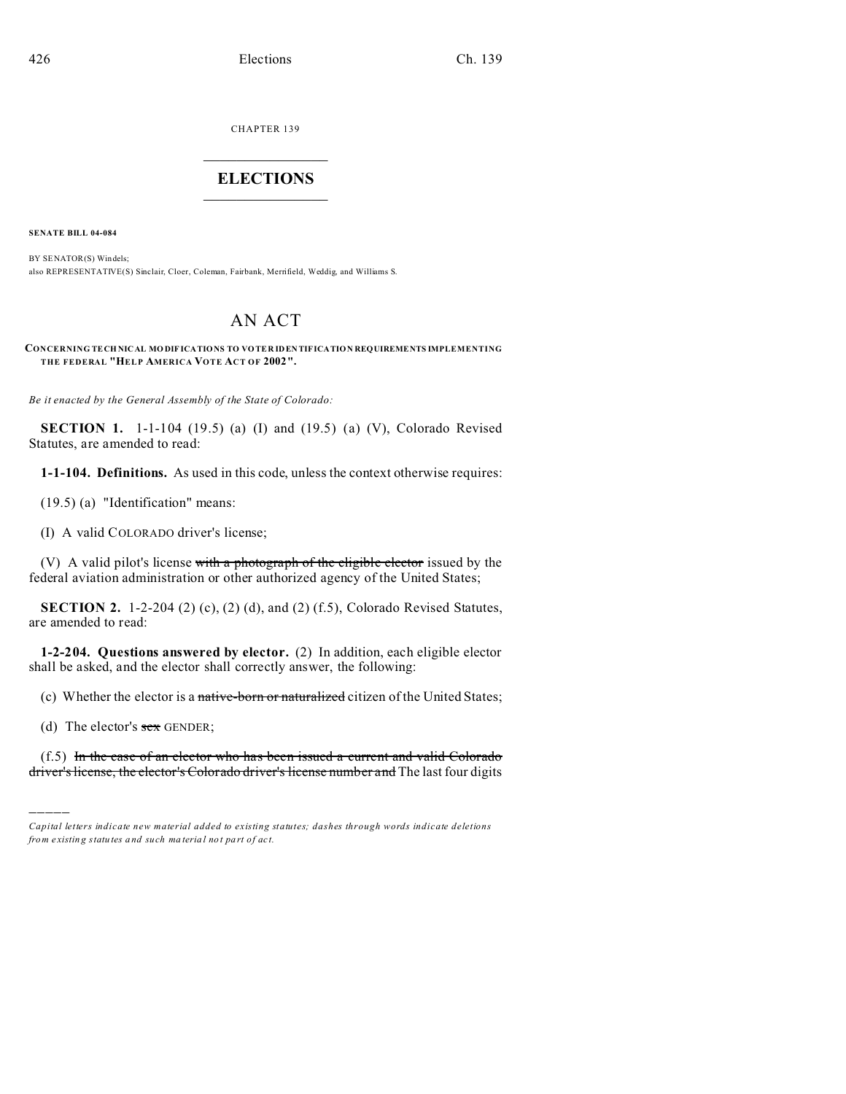CHAPTER 139  $\overline{\phantom{a}}$  , where  $\overline{\phantom{a}}$ 

## **ELECTIONS**  $\_$

**SENATE BILL 04-084**

BY SENATOR(S) Windels; also REPRESENTATIVE(S) Sinclair, Cloer, Coleman, Fairbank, Merrifield, Weddig, and Williams S.

## AN ACT

**CONCERNING TECH NICAL MO DIF ICATIONS TO VO TER IDEN TIFICATION REQUIREMENTS IMPLEMENTING THE FEDERAL "HELP AMERICA VOTE ACT OF 2002".**

*Be it enacted by the General Assembly of the State of Colorado:*

**SECTION 1.** 1-1-104 (19.5) (a) (I) and (19.5) (a) (V), Colorado Revised Statutes, are amended to read:

**1-1-104. Definitions.** As used in this code, unless the context otherwise requires:

(19.5) (a) "Identification" means:

(I) A valid COLORADO driver's license;

(V) A valid pilot's license with a photograph of the eligible elector issued by the federal aviation administration or other authorized agency of the United States;

**SECTION 2.** 1-2-204 (2) (c), (2) (d), and (2) (f.5), Colorado Revised Statutes, are amended to read:

**1-2-204. Questions answered by elector.** (2) In addition, each eligible elector shall be asked, and the elector shall correctly answer, the following:

(c) Whether the elector is a native-born or naturalized citizen of the United States;

(d) The elector's  $sex$  GENDER;

)))))

 $(f.5)$  In the case of an elector who has been issued a current and valid Colorado driver's license, the elector's Colorado driver's license number and The last four digits

*Capital letters indicate new material added to existing statutes; dashes through words indicate deletions from e xistin g statu tes a nd such ma teria l no t pa rt of ac t.*